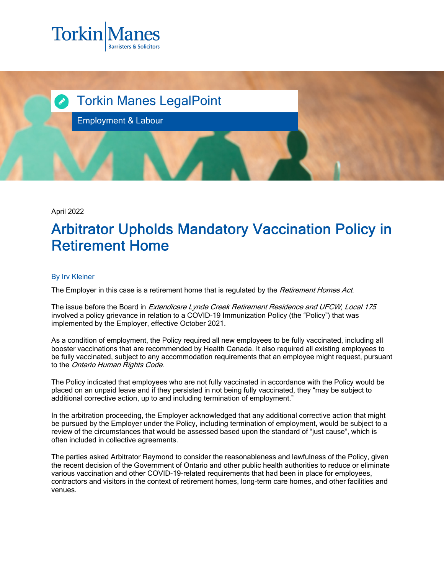



April 2022

## Arbitrator Upholds Mandatory Vaccination Policy in Retirement Home

## By Irv Kleiner

The Employer in this case is a retirement home that is regulated by the Retirement Homes Act.

The issue before the Board in *Extendicare Lynde Creek Retirement Residence and UFCW, Local 175* involved a policy grievance in relation to a COVID-19 Immunization Policy (the "Policy") that was implemented by the Employer, effective October 2021.

As a condition of employment, the Policy required all new employees to be fully vaccinated, including all booster vaccinations that are recommended by Health Canada. It also required all existing employees to be fully vaccinated, subject to any accommodation requirements that an employee might request, pursuant to the Ontario Human Rights Code.

The Policy indicated that employees who are not fully vaccinated in accordance with the Policy would be placed on an unpaid leave and if they persisted in not being fully vaccinated, they "may be subject to additional corrective action, up to and including termination of employment."

In the arbitration proceeding, the Employer acknowledged that any additional corrective action that might be pursued by the Employer under the Policy, including termination of employment, would be subject to a review of the circumstances that would be assessed based upon the standard of "just cause", which is often included in collective agreements.

The parties asked Arbitrator Raymond to consider the reasonableness and lawfulness of the Policy, given the recent decision of the Government of Ontario and other public health authorities to reduce or eliminate various vaccination and other COVID-19-related requirements that had been in place for employees, contractors and visitors in the context of retirement homes, long-term care homes, and other facilities and venues.